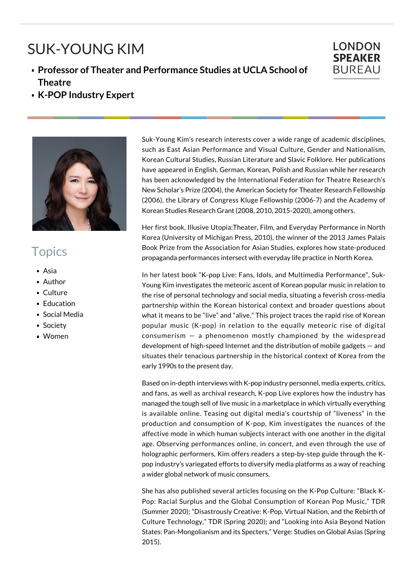## SUK-YOUNG KIM

## **Professor of Theater and Performance Studies at UCLA School of Theatre**



**K-POP Industry Expert**



## **Topics**

- Asia
- Author
- **Culture**
- **Education**
- **Social Media**
- **Society**
- Women

Suk-Young Kim's research interests cover a wide range of academic disciplines, such as East Asian Performance and Visual Culture, Gender and Nationalism, Korean Cultural Studies, Russian Literature and Slavic Folklore. Her publications have appeared in English, German, Korean, Polish and Russian while her research has been acknowledged by the International Federation for Theatre Research's New Scholar's Prize (2004), the American Society for Theater Research Fellowship (2006), the Library of Congress Kluge Fellowship (2006-7) and the Academy of Korean Studies Research Grant (2008, 2010, 2015-2020), among others.

Her first book, Illusive Utopia:Theater, Film, and Everyday Performance in North Korea (University of Michigan Press, 2010), the winner of the 2013 James Palais Book Prize from the Association for Asian Studies, explores how state-produced propaganda performances intersect with everyday life practice in North Korea.

In her latest book "K-pop Live: Fans, Idols, and Multimedia Performance", Suk-Young Kim investigates the meteoric ascent of Korean popular music in relation to the rise of personal technology and social media, situating a feverish cross-media partnership within the Korean historical context and broader questions about what it means to be "live" and "alive." This project traces the rapid rise of Korean popular music (K-pop) in relation to the equally meteoric rise of digital consumerism — a phenomenon mostly championed by the widespread development of high-speed Internet and the distribution of mobile gadgets — and situates their tenacious partnership in the historical context of Korea from the early 1990s to the present day.

Based on in-depth interviews with K-pop industry personnel, media experts, critics, and fans, as well as archival research, K-pop Live explores how the industry has managed the tough sell of live music in a marketplace in which virtually everything is available online. Teasing out digital media's courtship of "liveness" in the production and consumption of K-pop, Kim investigates the nuances of the affective mode in which human subjects interact with one another in the digital age. Observing performances online, in concert, and even through the use of holographic performers, Kim offers readers a step-by-step guide through the Kpop industry's variegated efforts to diversify media platforms as a way of reaching a wider global network of music consumers.

She has also published several articles focusing on the K-Pop Culture: "Black K-Pop: Racial Surplus and the Global Consumption of Korean Pop Music," TDR (Summer 2020); "Disastrously Creative: K-Pop, Virtual Nation, and the Rebirth of Culture Technology," TDR (Spring 2020); and "Looking into Asia Beyond Nation States: Pan-Mongolianism and its Specters," Verge: Studies on Global Asias (Spring 2015).